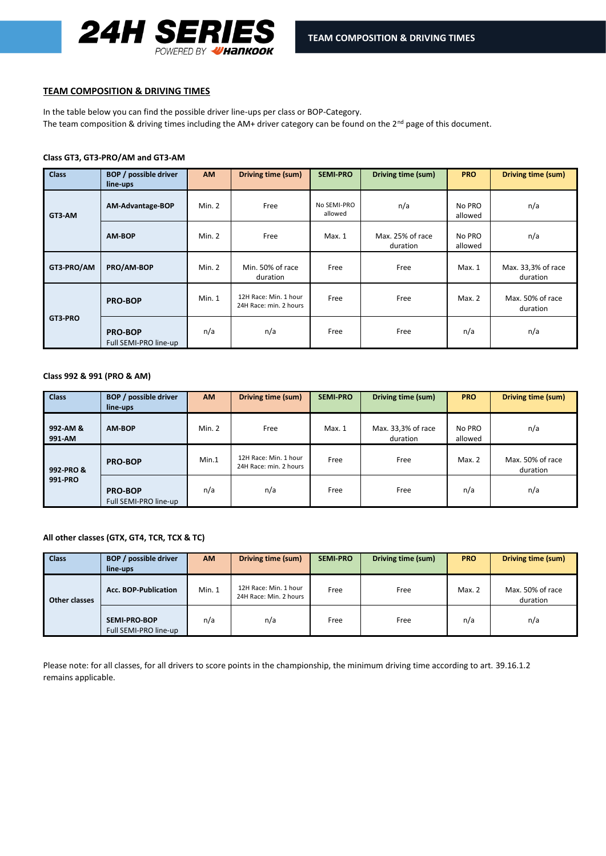

#### **TEAM COMPOSITION & DRIVING TIMES**

In the table below you can find the possible driver line-ups per class or BOP-Category. The team composition & driving times including the AM+ driver category can be found on the 2<sup>nd</sup> page of this document.

## **Class GT3, GT3-PRO/AM and GT3-AM**

| <b>Class</b> | <b>BOP</b> / possible driver<br>line-ups | <b>AM</b>                                                 | Driving time (sum)           | <b>SEMI-PRO</b>        | Driving time (sum)           | <b>PRO</b>        | Driving time (sum)             |
|--------------|------------------------------------------|-----------------------------------------------------------|------------------------------|------------------------|------------------------------|-------------------|--------------------------------|
| GT3-AM       | AM-Advantage-BOP                         | Min. 2                                                    | Free                         | No SEMI-PRO<br>allowed | n/a                          | No PRO<br>allowed | n/a                            |
|              | <b>AM-BOP</b>                            | Min. 2                                                    | Free                         | Max. 1                 | Max. 25% of race<br>duration | No PRO<br>allowed | n/a                            |
| GT3-PRO/AM   | PRO/AM-BOP                               | Min. 2                                                    | Min. 50% of race<br>duration | Free                   | Free                         | Max. 1            | Max. 33,3% of race<br>duration |
|              | <b>PRO-BOP</b>                           | 12H Race: Min. 1 hour<br>Min. 1<br>24H Race: min. 2 hours |                              | Free                   | Free                         | Max. 2            | Max. 50% of race<br>duration   |
| GT3-PRO      | <b>PRO-BOP</b><br>Full SEMI-PRO line-up  | n/a                                                       | n/a                          | Free                   | Free                         | n/a               | n/a                            |

#### **Class 992 & 991 (PRO & AM)**

| <b>Class</b>         | <b>BOP</b> / possible driver<br>line-ups | <b>AM</b> | Driving time (sum)                              | <b>SEMI-PRO</b>                | Driving time (sum) | <b>PRO</b> | Driving time (sum)           |
|----------------------|------------------------------------------|-----------|-------------------------------------------------|--------------------------------|--------------------|------------|------------------------------|
| 992-AM&<br>991-AM    | Min. 2<br>Free<br>AM-BOP                 |           | Max. 1                                          | Max. 33,3% of race<br>duration | No PRO<br>allowed  | n/a        |                              |
| 992-PRO &<br>991-PRO | <b>PRO-BOP</b>                           | Min.1     | 12H Race: Min. 1 hour<br>24H Race: min. 2 hours | Free                           | Free               | Max. 2     | Max. 50% of race<br>duration |
|                      | <b>PRO-BOP</b><br>Full SEMI-PRO line-up  | n/a       | n/a                                             | Free                           | Free               | n/a        | n/a                          |

#### **All other classes (GTX, GT4, TCR, TCX & TC)**

| <b>Class</b>  | <b>BOP</b> / possible driver<br><b>AM</b><br>line-ups |        | Driving time (sum)                              | <b>SEMI PRO</b> | Driving time (sum) | <b>PRO</b> | Driving time (sum)           |
|---------------|-------------------------------------------------------|--------|-------------------------------------------------|-----------------|--------------------|------------|------------------------------|
| Other classes | <b>Acc. BOP-Publication</b>                           | Min. 1 | 12H Race: Min. 1 hour<br>24H Race: Min. 2 hours | Free            | Free               | Max. 2     | Max. 50% of race<br>duration |
|               | <b>SEMI-PRO-BOP</b><br>Full SEMI-PRO line-up          | n/a    | n/a                                             | Free            | Free               | n/a        | n/a                          |

Please note: for all classes, for all drivers to score points in the championship, the minimum driving time according to art. 39.16.1.2 remains applicable.